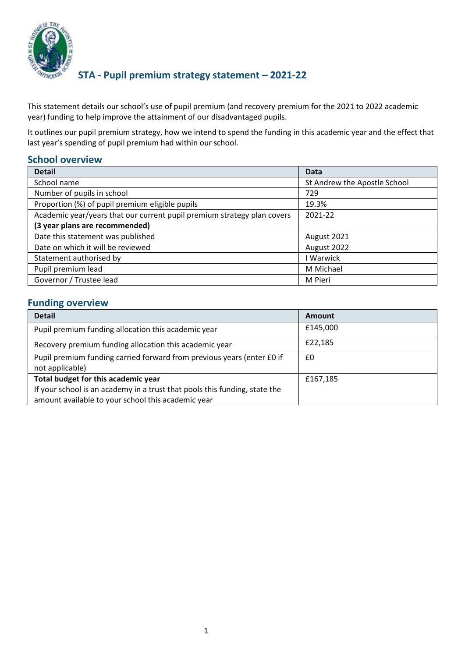

### **STA - Pupil premium strategy statement – 2021-22**

This statement details our school's use of pupil premium (and recovery premium for the 2021 to 2022 academic year) funding to help improve the attainment of our disadvantaged pupils.

It outlines our pupil premium strategy, how we intend to spend the funding in this academic year and the effect that last year's spending of pupil premium had within our school.

### **School overview**

| <b>Detail</b>                                                           | <b>Data</b>                  |
|-------------------------------------------------------------------------|------------------------------|
| School name                                                             | St Andrew the Apostle School |
| Number of pupils in school                                              | 729                          |
| Proportion (%) of pupil premium eligible pupils                         | 19.3%                        |
| Academic year/years that our current pupil premium strategy plan covers | 2021-22                      |
| (3 year plans are recommended)                                          |                              |
| Date this statement was published                                       | August 2021                  |
| Date on which it will be reviewed                                       | August 2022                  |
| Statement authorised by                                                 | Warwick                      |
| Pupil premium lead                                                      | M Michael                    |
| Governor / Trustee lead                                                 | M Pieri                      |

#### **Funding overview**

| <b>Detail</b>                                                                                                                                                           | Amount   |
|-------------------------------------------------------------------------------------------------------------------------------------------------------------------------|----------|
| Pupil premium funding allocation this academic year                                                                                                                     | £145,000 |
| Recovery premium funding allocation this academic year                                                                                                                  | £22,185  |
| Pupil premium funding carried forward from previous years (enter £0 if<br>not applicable)                                                                               | £0       |
| Total budget for this academic year<br>If your school is an academy in a trust that pools this funding, state the<br>amount available to your school this academic year | £167,185 |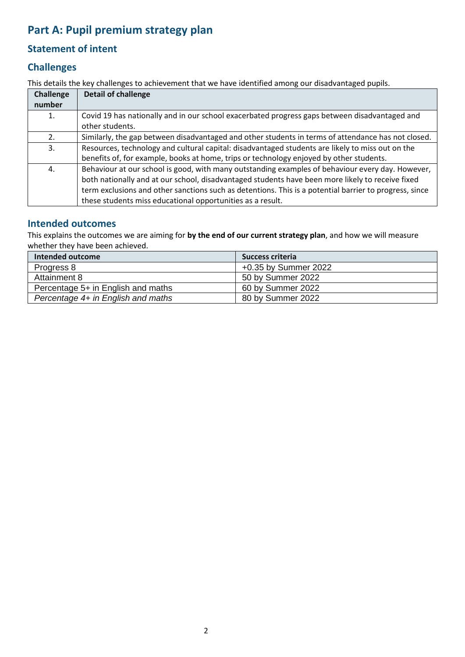# **Part A: Pupil premium strategy plan**

## **Statement of intent**

### **Challenges**

This details the key challenges to achievement that we have identified among our disadvantaged pupils.

| <b>Challenge</b> | Detail of challenge                                                                                    |
|------------------|--------------------------------------------------------------------------------------------------------|
| number           |                                                                                                        |
| 1.               | Covid 19 has nationally and in our school exacerbated progress gaps between disadvantaged and          |
|                  | other students.                                                                                        |
| 2.               | Similarly, the gap between disadvantaged and other students in terms of attendance has not closed.     |
| 3.               | Resources, technology and cultural capital: disadvantaged students are likely to miss out on the       |
|                  | benefits of, for example, books at home, trips or technology enjoyed by other students.                |
| 4.               | Behaviour at our school is good, with many outstanding examples of behaviour every day. However,       |
|                  | both nationally and at our school, disadvantaged students have been more likely to receive fixed       |
|                  | term exclusions and other sanctions such as detentions. This is a potential barrier to progress, since |
|                  | these students miss educational opportunities as a result.                                             |

#### **Intended outcomes**

This explains the outcomes we are aiming for **by the end of our current strategy plan**, and how we will measure whether they have been achieved.

| Intended outcome                   | Success criteria     |
|------------------------------------|----------------------|
| Progress 8                         | +0.35 by Summer 2022 |
| Attainment 8                       | 50 by Summer 2022    |
| Percentage 5+ in English and maths | 60 by Summer 2022    |
| Percentage 4+ in English and maths | 80 by Summer 2022    |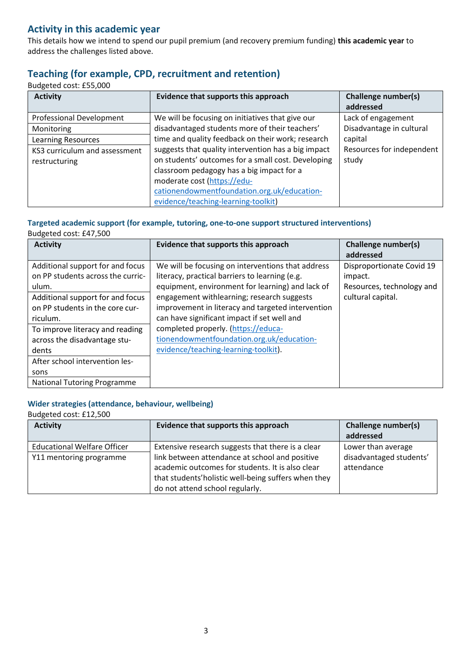### **Activity in this academic year**

This details how we intend to spend our pupil premium (and recovery premium funding) **this academic year** to address the challenges listed above.

### **Teaching (for example, CPD, recruitment and retention)**

Budgeted cost: £55,000

| <b>Activity</b>               | Evidence that supports this approach                | <b>Challenge number(s)</b> |
|-------------------------------|-----------------------------------------------------|----------------------------|
|                               |                                                     | addressed                  |
| Professional Development      | We will be focusing on initiatives that give our    | Lack of engagement         |
| Monitoring                    | disadvantaged students more of their teachers'      | Disadvantage in cultural   |
| <b>Learning Resources</b>     | time and quality feedback on their work; research   | capital                    |
| KS3 curriculum and assessment | suggests that quality intervention has a big impact | Resources for independent  |
| restructuring                 | on students' outcomes for a small cost. Developing  | study                      |
|                               | classroom pedagogy has a big impact for a           |                            |
|                               | moderate cost (https://edu-                         |                            |
|                               | cationendowmentfoundation.org.uk/education-         |                            |
|                               | evidence/teaching-learning-toolkit)                 |                            |

# **Targeted academic support (for example, tutoring, one-to-one support structured interventions)**

Budgeted cost: £47,500

| <b>Activity</b>                                                                                                                                                   | Evidence that supports this approach                                                                                                                                                                                                                                                                      | Challenge number(s)<br>addressed                                                       |
|-------------------------------------------------------------------------------------------------------------------------------------------------------------------|-----------------------------------------------------------------------------------------------------------------------------------------------------------------------------------------------------------------------------------------------------------------------------------------------------------|----------------------------------------------------------------------------------------|
| Additional support for and focus<br>on PP students across the curric-<br>ulum.<br>Additional support for and focus<br>on PP students in the core cur-<br>riculum. | We will be focusing on interventions that address<br>literacy, practical barriers to learning (e.g.<br>equipment, environment for learning) and lack of<br>engagement withlearning; research suggests<br>improvement in literacy and targeted intervention<br>can have significant impact if set well and | Disproportionate Covid 19<br>impact.<br>Resources, technology and<br>cultural capital. |
| To improve literacy and reading<br>across the disadvantage stu-<br>dents                                                                                          | completed properly. (https://educa-<br>tionendowmentfoundation.org.uk/education-<br>evidence/teaching-learning-toolkit).                                                                                                                                                                                  |                                                                                        |
| After school intervention les-<br>sons<br><b>National Tutoring Programme</b>                                                                                      |                                                                                                                                                                                                                                                                                                           |                                                                                        |

#### **Wider strategies (attendance, behaviour, wellbeing)**

Budgeted cost: £12,500

| <b>Activity</b>                    | Evidence that supports this approach                                                                                                                                                          | <b>Challenge number(s)</b><br>addressed |
|------------------------------------|-----------------------------------------------------------------------------------------------------------------------------------------------------------------------------------------------|-----------------------------------------|
| <b>Educational Welfare Officer</b> | Extensive research suggests that there is a clear                                                                                                                                             | Lower than average                      |
| Y11 mentoring programme            | link between attendance at school and positive<br>academic outcomes for students. It is also clear<br>that students' holistic well-being suffers when they<br>do not attend school regularly. | disadvantaged students'<br>attendance   |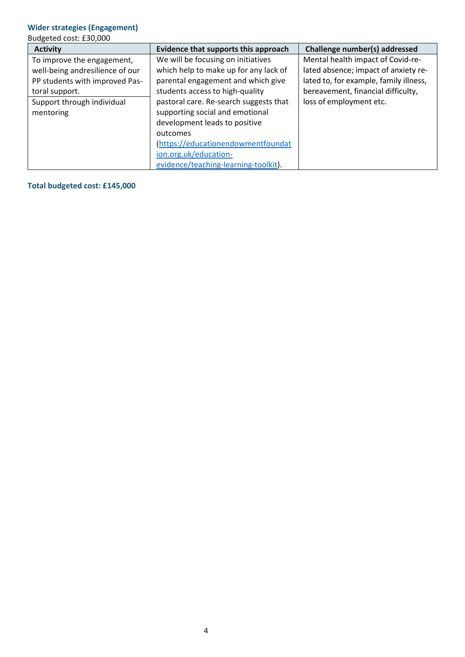#### **Wider strategies (Engagement)**

Budgeted cost: £30,000

| <b>Activity</b>                                                                                                                                              | Evidence that supports this approach                                                                                                                                                                                              | Challenge number(s) addressed                                                                                                                                                        |
|--------------------------------------------------------------------------------------------------------------------------------------------------------------|-----------------------------------------------------------------------------------------------------------------------------------------------------------------------------------------------------------------------------------|--------------------------------------------------------------------------------------------------------------------------------------------------------------------------------------|
| To improve the engagement,<br>well-being andresilience of our<br>PP students with improved Pas-<br>toral support.<br>Support through individual<br>mentoring | We will be focusing on initiatives<br>which help to make up for any lack of<br>parental engagement and which give<br>students access to high-quality<br>pastoral care. Re-search suggests that<br>supporting social and emotional | Mental health impact of Covid-re-<br>lated absence; impact of anxiety re-<br>lated to, for example, family illness,<br>bereavement, financial difficulty,<br>loss of employment etc. |
|                                                                                                                                                              | development leads to positive<br>outcomes<br>(https://educationendowmentfoundat<br>ion.org.uk/education-<br>evidence/teaching-learning-toolkit).                                                                                  |                                                                                                                                                                                      |

**Total budgeted cost: £145,000**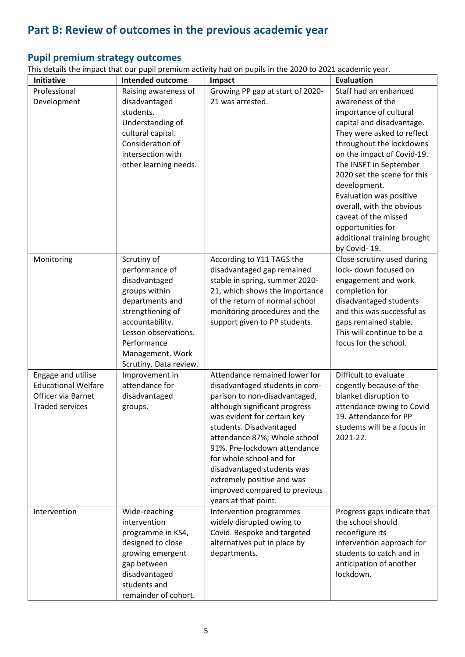# **Part B: Review of outcomes in the previous academic year**

# **Pupil premium strategy outcomes**

This details the impact that our pupil premium activity had on pupils in the 2020 to 2021 academic year.

| <b>Initiative</b>          | <b>Intended outcome</b>                 | Impact                                               | <b>Evaluation</b>                                   |
|----------------------------|-----------------------------------------|------------------------------------------------------|-----------------------------------------------------|
| Professional               | Raising awareness of                    | Growing PP gap at start of 2020-                     | Staff had an enhanced                               |
| Development                | disadvantaged                           | 21 was arrested.                                     | awareness of the                                    |
|                            | students.                               |                                                      | importance of cultural                              |
|                            | Understanding of                        |                                                      | capital and disadvantage.                           |
|                            | cultural capital.                       |                                                      | They were asked to reflect                          |
|                            | Consideration of                        |                                                      | throughout the lockdowns                            |
|                            | intersection with                       |                                                      | on the impact of Covid-19.                          |
|                            | other learning needs.                   |                                                      | The INSET in September                              |
|                            |                                         |                                                      | 2020 set the scene for this                         |
|                            |                                         |                                                      | development.                                        |
|                            |                                         |                                                      | Evaluation was positive                             |
|                            |                                         |                                                      | overall, with the obvious                           |
|                            |                                         |                                                      | caveat of the missed                                |
|                            |                                         |                                                      | opportunities for                                   |
|                            |                                         |                                                      | additional training brought                         |
|                            |                                         |                                                      | by Covid-19.                                        |
| Monitoring                 | Scrutiny of                             | According to Y11 TAGS the                            | Close scrutiny used during                          |
|                            | performance of                          | disadvantaged gap remained                           | lock- down focused on                               |
|                            | disadvantaged                           | stable in spring, summer 2020-                       | engagement and work                                 |
|                            | groups within                           | 21, which shows the importance                       | completion for                                      |
|                            | departments and                         | of the return of normal school                       | disadvantaged students                              |
|                            | strengthening of                        | monitoring procedures and the                        | and this was successful as                          |
|                            | accountability.<br>Lesson observations. | support given to PP students.                        | gaps remained stable.<br>This will continue to be a |
|                            | Performance                             |                                                      | focus for the school.                               |
|                            | Management. Work                        |                                                      |                                                     |
|                            | Scrutiny. Data review.                  |                                                      |                                                     |
| Engage and utilise         | Improvement in                          | Attendance remained lower for                        | Difficult to evaluate                               |
| <b>Educational Welfare</b> | attendance for                          | disadvantaged students in com-                       | cogently because of the                             |
| Officer via Barnet         | disadvantaged                           | parison to non-disadvantaged,                        | blanket disruption to                               |
| <b>Traded services</b>     | groups.                                 | although significant progress                        | attendance owing to Covid                           |
|                            |                                         | was evident for certain key                          | 19. Attendance for PP                               |
|                            |                                         | students. Disadvantaged                              | students will be a focus in                         |
|                            |                                         | attendance 87%; Whole school                         | 2021-22.                                            |
|                            |                                         | 91%. Pre-lockdown attendance                         |                                                     |
|                            |                                         | for whole school and for                             |                                                     |
|                            |                                         | disadvantaged students was                           |                                                     |
|                            |                                         | extremely positive and was                           |                                                     |
|                            |                                         | improved compared to previous                        |                                                     |
| Intervention               |                                         | years at that point.                                 |                                                     |
|                            | Wide-reaching<br>intervention           | Intervention programmes<br>widely disrupted owing to | Progress gaps indicate that<br>the school should    |
|                            | programme in KS4,                       | Covid. Bespoke and targeted                          | reconfigure its                                     |
|                            | designed to close                       | alternatives put in place by                         | intervention approach for                           |
|                            | growing emergent                        | departments.                                         | students to catch and in                            |
|                            | gap between                             |                                                      | anticipation of another                             |
|                            | disadvantaged                           |                                                      | lockdown.                                           |
|                            | students and                            |                                                      |                                                     |
|                            | remainder of cohort.                    |                                                      |                                                     |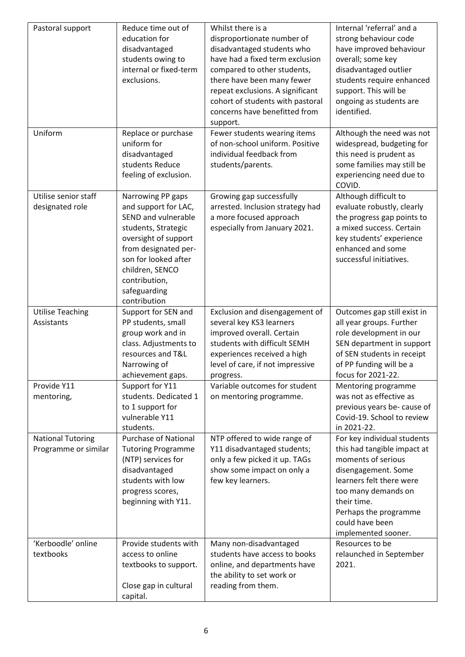| Pastoral support                                 | Reduce time out of<br>education for<br>disadvantaged<br>students owing to<br>internal or fixed-term<br>exclusions.                                                                                                                  | Whilst there is a<br>disproportionate number of<br>disadvantaged students who<br>have had a fixed term exclusion<br>compared to other students,<br>there have been many fewer<br>repeat exclusions. A significant<br>cohort of students with pastoral<br>concerns have benefitted from<br>support. | Internal 'referral' and a<br>strong behaviour code<br>have improved behaviour<br>overall; some key<br>disadvantaged outlier<br>students require enhanced<br>support. This will be<br>ongoing as students are<br>identified.                  |
|--------------------------------------------------|-------------------------------------------------------------------------------------------------------------------------------------------------------------------------------------------------------------------------------------|----------------------------------------------------------------------------------------------------------------------------------------------------------------------------------------------------------------------------------------------------------------------------------------------------|----------------------------------------------------------------------------------------------------------------------------------------------------------------------------------------------------------------------------------------------|
| Uniform                                          | Replace or purchase<br>uniform for<br>disadvantaged<br>students Reduce<br>feeling of exclusion.                                                                                                                                     | Fewer students wearing items<br>of non-school uniform. Positive<br>individual feedback from<br>students/parents.                                                                                                                                                                                   | Although the need was not<br>widespread, budgeting for<br>this need is prudent as<br>some families may still be<br>experiencing need due to<br>COVID.                                                                                        |
| Utilise senior staff<br>designated role          | Narrowing PP gaps<br>and support for LAC,<br>SEND and vulnerable<br>students, Strategic<br>oversight of support<br>from designated per-<br>son for looked after<br>children, SENCO<br>contribution,<br>safeguarding<br>contribution | Growing gap successfully<br>arrested. Inclusion strategy had<br>a more focused approach<br>especially from January 2021.                                                                                                                                                                           | Although difficult to<br>evaluate robustly, clearly<br>the progress gap points to<br>a mixed success. Certain<br>key students' experience<br>enhanced and some<br>successful initiatives.                                                    |
| <b>Utilise Teaching</b><br>Assistants            | Support for SEN and<br>PP students, small<br>group work and in<br>class. Adjustments to<br>resources and T&L<br>Narrowing of<br>achievement gaps.                                                                                   | Exclusion and disengagement of<br>several key KS3 learners<br>improved overall. Certain<br>students with difficult SEMH<br>experiences received a high<br>level of care, if not impressive<br>progress.                                                                                            | Outcomes gap still exist in<br>all year groups. Further<br>role development in our<br>SEN department in support<br>of SEN students in receipt<br>of PP funding will be a<br>focus for 2021-22.                                               |
| Provide Y11<br>mentoring,                        | Support for Y11<br>students. Dedicated 1<br>to 1 support for<br>vulnerable Y11<br>students.                                                                                                                                         | Variable outcomes for student<br>on mentoring programme.                                                                                                                                                                                                                                           | Mentoring programme<br>was not as effective as<br>previous years be- cause of<br>Covid-19. School to review<br>in 2021-22.                                                                                                                   |
| <b>National Tutoring</b><br>Programme or similar | <b>Purchase of National</b><br><b>Tutoring Programme</b><br>(NTP) services for<br>disadvantaged<br>students with low<br>progress scores,<br>beginning with Y11.                                                                     | NTP offered to wide range of<br>Y11 disadvantaged students;<br>only a few picked it up. TAGs<br>show some impact on only a<br>few key learners.                                                                                                                                                    | For key individual students<br>this had tangible impact at<br>moments of serious<br>disengagement. Some<br>learners felt there were<br>too many demands on<br>their time.<br>Perhaps the programme<br>could have been<br>implemented sooner. |
| 'Kerboodle' online<br>textbooks                  | Provide students with<br>access to online<br>textbooks to support.<br>Close gap in cultural<br>capital.                                                                                                                             | Many non-disadvantaged<br>students have access to books<br>online, and departments have<br>the ability to set work or<br>reading from them.                                                                                                                                                        | Resources to be<br>relaunched in September<br>2021.                                                                                                                                                                                          |